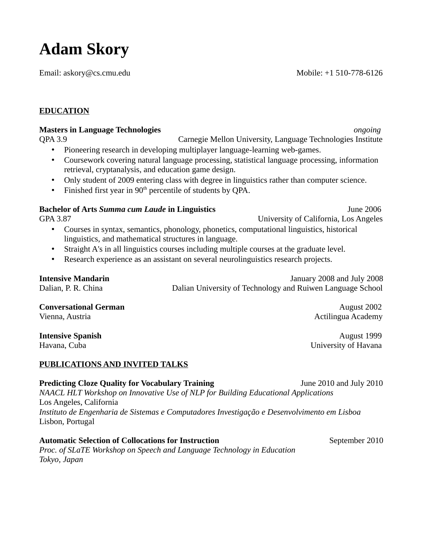# **Adam Skory**

Email: askory@cs.cmu.edu Mobile: +1 510-778-6126

# **EDUCATION**

## **Masters in Language Technologies** *ongoing*

QPA 3.9 Carnegie Mellon University, Language Technologies Institute

- Pioneering research in developing multiplayer language-learning web-games.
- Coursework covering natural language processing, statistical language processing, information retrieval, cryptanalysis, and education game design.
- Only student of 2009 entering class with degree in linguistics rather than computer science.
- Finished first year in  $90<sup>th</sup>$  percentile of students by QPA.

# **Bachelor of Arts** *Summa cum Laude* **in Linguistics** June 2006

GPA 3.87 University of California, Los Angeles

- Courses in syntax, semantics, phonology, phonetics, computational linguistics, historical linguistics, and mathematical structures in language.
- Straight A's in all linguistics courses including multiple courses at the graduate level.
- Research experience as an assistant on several neurolinguistics research projects.

**Intensive Mandarin** January 2008 and July 2008 Dalian, P. R. China Dalian University of Technology and Ruiwen Language School

**Conversational German** *August 2002* Vienna, Austria **Actilingua Academy** 

# **PUBLICATIONS AND INVITED TALKS**

**Predicting Cloze Quality for Vocabulary Training 30 June 2010 and July 2010** *NAACL HLT Workshop on Innovative Use of NLP for Building Educational Applications*  Los Angeles, California *Instituto de Engenharia de Sistemas e Computadores Investigação e Desenvolvimento em Lisboa* Lisbon, Portugal

Automatic Selection of Collocations for Instruction **September 2010** September 2010 *Proc. of SLaTE Workshop on Speech and Language Technology in Education Tokyo, Japan* 

**Intensive Spanish** August 1999 Havana, Cuba University of Havana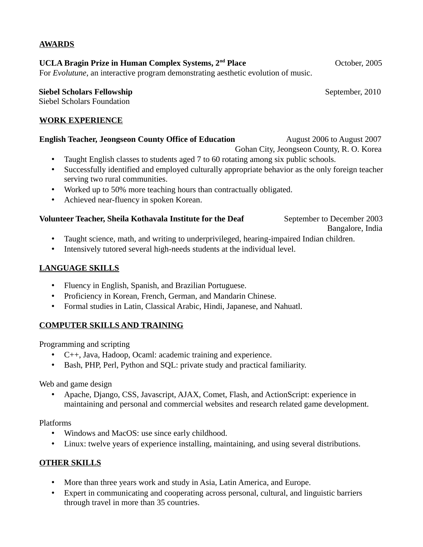**UCLA Bragin Prize in Human Complex Systems, 2nd Place** October, 2005 For *Evolutune*, an interactive program demonstrating aesthetic evolution of music.

#### **Siebel Scholars Fellowship** September, 2010

**AWARDS**

Siebel Scholars Foundation

#### **WORK EXPERIENCE**

#### **English Teacher, Jeongseon County Office of Education** August 2006 to August 2007

- Gohan City, Jeongseon County, R. O. Korea
- Taught English classes to students aged 7 to 60 rotating among six public schools.
- Successfully identified and employed culturally appropriate behavior as the only foreign teacher serving two rural communities.
- Worked up to 50% more teaching hours than contractually obligated.
- Achieved near-fluency in spoken Korean.

#### **Volunteer Teacher, Sheila Kothavala Institute for the Deaf** September to December 2003

Bangalore, India

- Taught science, math, and writing to underprivileged, hearing-impaired Indian children.
- Intensively tutored several high-needs students at the individual level.

### **LANGUAGE SKILLS**

- Fluency in English, Spanish, and Brazilian Portuguese.
- Proficiency in Korean, French, German, and Mandarin Chinese.
- Formal studies in Latin, Classical Arabic, Hindi, Japanese, and Nahuatl.

### **COMPUTER SKILLS AND TRAINING**

Programming and scripting

- C++, Java, Hadoop, Ocaml: academic training and experience.
- Bash, PHP, Perl, Python and SQL: private study and practical familiarity.

Web and game design

• Apache, Django, CSS, Javascript, AJAX, Comet, Flash, and ActionScript: experience in maintaining and personal and commercial websites and research related game development.

#### Platforms

- Windows and MacOS: use since early childhood.
- Linux: twelve years of experience installing, maintaining, and using several distributions.

### **OTHER SKILLS**

- More than three years work and study in Asia, Latin America, and Europe.
- Expert in communicating and cooperating across personal, cultural, and linguistic barriers through travel in more than 35 countries.